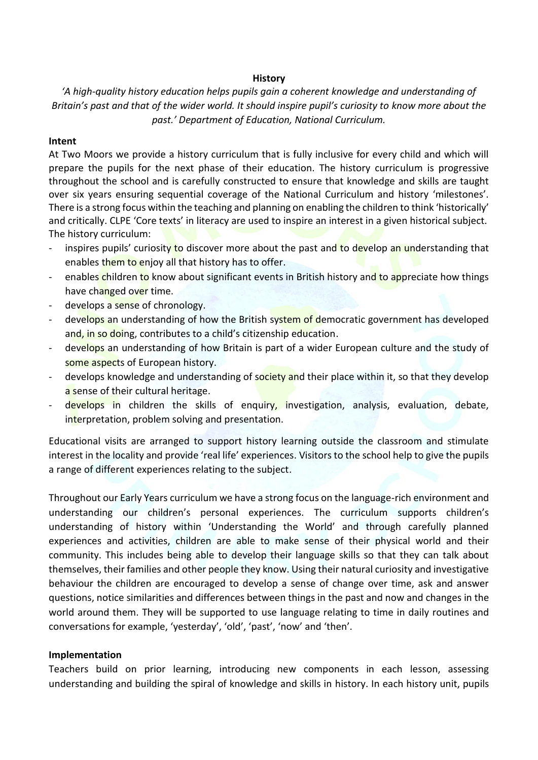## **History**

*'A high-quality history education helps pupils gain a coherent knowledge and understanding of Britain's past and that of the wider world. It should inspire pupil's curiosity to know more about the past.' Department of Education, National Curriculum.*

## **Intent**

At Two Moors we provide a history curriculum that is fully inclusive for every child and which will prepare the pupils for the next phase of their education. The history curriculum is progressive throughout the school and is carefully constructed to ensure that knowledge and skills are taught over six years ensuring sequential coverage of the National Curriculum and history 'milestones'. There is a strong focus within the teaching and planning on enabling the children to think 'historically' and critically. CLPE 'Core texts' in literacy are used to inspire an interest in a given historical subject. The history curriculum:

- inspires pupils' curiosity to discover more about the past and to develop an understanding that enables them to enjoy all that history has to offer.
- enables children to know about significant events in British history and to appreciate how things have changed over time.
- develops a sense of chronology.
- develops an understanding of how the British system of democratic government has developed and, in so doing, contributes to a child's citizenship education.
- develops an understanding of how Britain is part of a wider European culture and the study of some aspects of European history.
- develops knowledge and understanding of society and their place within it, so that they develop a sense of their cultural heritage.
- develops in children the skills of enquiry, investigation, analysis, evaluation, debate, interpretation, problem solving and presentation.

Educational visits are arranged to support history learning outside the classroom and stimulate interest in the locality and provide 'real life' experiences. Visitors to the school help to give the pupils a range of different experiences relating to the subject.

Throughout our Early Years curriculum we have a strong focus on the language-rich environment and understanding our children's personal experiences. The curriculum supports children's understanding of history within 'Understanding the World' and through carefully planned experiences and activities, children are able to make sense of their physical world and their community. This includes being able to develop their language skills so that they can talk about themselves, their families and other people they know. Using their natural curiosity and investigative behaviour the children are encouraged to develop a sense of change over time, ask and answer questions, notice similarities and differences between things in the past and now and changes in the world around them. They will be supported to use language relating to time in daily routines and conversations for example, 'yesterday', 'old', 'past', 'now' and 'then'.

## **Implementation**

Teachers build on prior learning, introducing new components in each lesson, assessing understanding and building the spiral of knowledge and skills in history. In each history unit, pupils